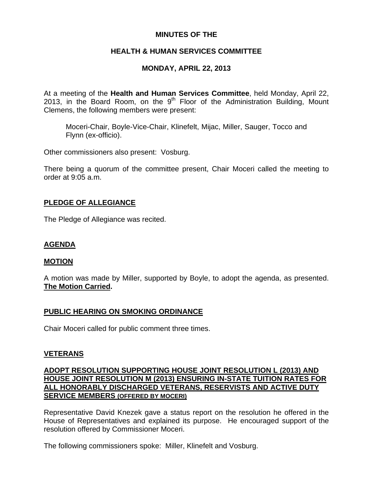### **MINUTES OF THE**

# **HEALTH & HUMAN SERVICES COMMITTEE**

# **MONDAY, APRIL 22, 2013**

At a meeting of the **Health and Human Services Committee**, held Monday, April 22, 2013, in the Board Room, on the  $9<sup>th</sup>$  Floor of the Administration Building, Mount Clemens, the following members were present:

Moceri-Chair, Boyle-Vice-Chair, Klinefelt, Mijac, Miller, Sauger, Tocco and Flynn (ex-officio).

Other commissioners also present: Vosburg.

There being a quorum of the committee present, Chair Moceri called the meeting to order at 9:05 a.m.

## **PLEDGE OF ALLEGIANCE**

The Pledge of Allegiance was recited.

### **AGENDA**

#### **MOTION**

A motion was made by Miller, supported by Boyle, to adopt the agenda, as presented. **The Motion Carried.** 

### **PUBLIC HEARING ON SMOKING ORDINANCE**

Chair Moceri called for public comment three times.

### **VETERANS**

### **ADOPT RESOLUTION SUPPORTING HOUSE JOINT RESOLUTION L (2013) AND HOUSE JOINT RESOLUTION M (2013) ENSURING IN-STATE TUITION RATES FOR ALL HONORABLY DISCHARGED VETERANS, RESERVISTS AND ACTIVE DUTY SERVICE MEMBERS (OFFERED BY MOCERI)**

Representative David Knezek gave a status report on the resolution he offered in the House of Representatives and explained its purpose. He encouraged support of the resolution offered by Commissioner Moceri.

The following commissioners spoke: Miller, Klinefelt and Vosburg.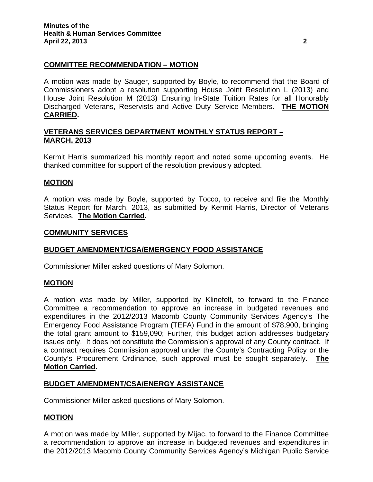### **COMMITTEE RECOMMENDATION – MOTION**

A motion was made by Sauger, supported by Boyle, to recommend that the Board of Commissioners adopt a resolution supporting House Joint Resolution L (2013) and House Joint Resolution M (2013) Ensuring In-State Tuition Rates for all Honorably Discharged Veterans, Reservists and Active Duty Service Members. **THE MOTION CARRIED.** 

### **VETERANS SERVICES DEPARTMENT MONTHLY STATUS REPORT – MARCH, 2013**

Kermit Harris summarized his monthly report and noted some upcoming events. He thanked committee for support of the resolution previously adopted.

#### **MOTION**

A motion was made by Boyle, supported by Tocco, to receive and file the Monthly Status Report for March, 2013, as submitted by Kermit Harris, Director of Veterans Services. **The Motion Carried.** 

#### **COMMUNITY SERVICES**

#### **BUDGET AMENDMENT/CSA/EMERGENCY FOOD ASSISTANCE**

Commissioner Miller asked questions of Mary Solomon.

#### **MOTION**

A motion was made by Miller, supported by Klinefelt, to forward to the Finance Committee a recommendation to approve an increase in budgeted revenues and expenditures in the 2012/2013 Macomb County Community Services Agency's The Emergency Food Assistance Program (TEFA) Fund in the amount of \$78,900, bringing the total grant amount to \$159,090; Further, this budget action addresses budgetary issues only. It does not constitute the Commission's approval of any County contract. If a contract requires Commission approval under the County's Contracting Policy or the County's Procurement Ordinance, such approval must be sought separately. **The Motion Carried.** 

#### **BUDGET AMENDMENT/CSA/ENERGY ASSISTANCE**

Commissioner Miller asked questions of Mary Solomon.

#### **MOTION**

A motion was made by Miller, supported by Mijac, to forward to the Finance Committee a recommendation to approve an increase in budgeted revenues and expenditures in the 2012/2013 Macomb County Community Services Agency's Michigan Public Service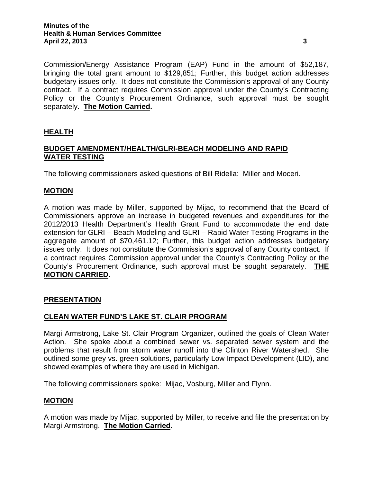Commission/Energy Assistance Program (EAP) Fund in the amount of \$52,187, bringing the total grant amount to \$129,851; Further, this budget action addresses budgetary issues only. It does not constitute the Commission's approval of any County contract. If a contract requires Commission approval under the County's Contracting Policy or the County's Procurement Ordinance, such approval must be sought separately. **The Motion Carried.** 

### **HEALTH**

## **BUDGET AMENDMENT/HEALTH/GLRI-BEACH MODELING AND RAPID WATER TESTING**

The following commissioners asked questions of Bill Ridella: Miller and Moceri.

### **MOTION**

A motion was made by Miller, supported by Mijac, to recommend that the Board of Commissioners approve an increase in budgeted revenues and expenditures for the 2012/2013 Health Department's Health Grant Fund to accommodate the end date extension for GLRI – Beach Modeling and GLRI – Rapid Water Testing Programs in the aggregate amount of \$70,461.12; Further, this budget action addresses budgetary issues only. It does not constitute the Commission's approval of any County contract. If a contract requires Commission approval under the County's Contracting Policy or the County's Procurement Ordinance, such approval must be sought separately. **THE MOTION CARRIED.** 

### **PRESENTATION**

### **CLEAN WATER FUND'S LAKE ST. CLAIR PROGRAM**

Margi Armstrong, Lake St. Clair Program Organizer, outlined the goals of Clean Water Action. She spoke about a combined sewer vs. separated sewer system and the problems that result from storm water runoff into the Clinton River Watershed. She outlined some grey vs. green solutions, particularly Low Impact Development (LID), and showed examples of where they are used in Michigan.

The following commissioners spoke: Mijac, Vosburg, Miller and Flynn.

#### **MOTION**

A motion was made by Mijac, supported by Miller, to receive and file the presentation by Margi Armstrong. **The Motion Carried.**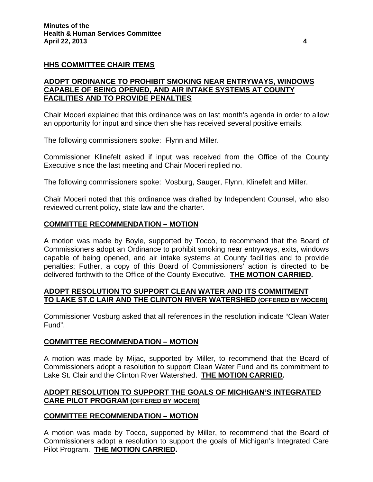### **HHS COMMITTEE CHAIR ITEMS**

### **ADOPT ORDINANCE TO PROHIBIT SMOKING NEAR ENTRYWAYS, WINDOWS CAPABLE OF BEING OPENED, AND AIR INTAKE SYSTEMS AT COUNTY FACILITIES AND TO PROVIDE PENALTIES**

Chair Moceri explained that this ordinance was on last month's agenda in order to allow an opportunity for input and since then she has received several positive emails.

The following commissioners spoke: Flynn and Miller.

Commissioner Klinefelt asked if input was received from the Office of the County Executive since the last meeting and Chair Moceri replied no.

The following commissioners spoke: Vosburg, Sauger, Flynn, Klinefelt and Miller.

Chair Moceri noted that this ordinance was drafted by Independent Counsel, who also reviewed current policy, state law and the charter.

#### **COMMITTEE RECOMMENDATION – MOTION**

A motion was made by Boyle, supported by Tocco, to recommend that the Board of Commissioners adopt an Ordinance to prohibit smoking near entryways, exits, windows capable of being opened, and air intake systems at County facilities and to provide penalties; Futher, a copy of this Board of Commissioners' action is directed to be delivered forthwith to the Office of the County Executive. **THE MOTION CARRIED.** 

#### **ADOPT RESOLUTION TO SUPPORT CLEAN WATER AND ITS COMMITMENT TO LAKE ST.C LAIR AND THE CLINTON RIVER WATERSHED (OFFERED BY MOCERI)**

Commissioner Vosburg asked that all references in the resolution indicate "Clean Water Fund".

#### **COMMITTEE RECOMMENDATION – MOTION**

A motion was made by Mijac, supported by Miller, to recommend that the Board of Commissioners adopt a resolution to support Clean Water Fund and its commitment to Lake St. Clair and the Clinton River Watershed. **THE MOTION CARRIED.** 

#### **ADOPT RESOLUTION TO SUPPORT THE GOALS OF MICHIGAN'S INTEGRATED CARE PILOT PROGRAM (OFFERED BY MOCERI)**

#### **COMMITTEE RECOMMENDATION – MOTION**

A motion was made by Tocco, supported by Miller, to recommend that the Board of Commissioners adopt a resolution to support the goals of Michigan's Integrated Care Pilot Program. **THE MOTION CARRIED.**